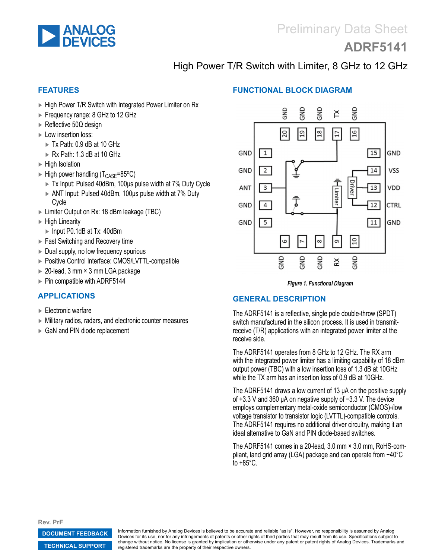<span id="page-0-0"></span>

# **[ADRF5141](http://www.analog.com/ADRF5141)**

## High Power T/R Switch with Limiter, 8 GHz to 12 GHz

#### **FEATURES**

- ► High Power T/R Switch with Integrated Power Limiter on Rx
- ► Frequency range: 8 GHz to 12 GHz
- ► Reflective 50Ω design
- ► Low insertion loss:
	- ► Tx Path: 0.9 dB at 10 GHz
	- ► Rx Path: 1.3 dB at 10 GHz
- ► High Isolation
- $\blacktriangleright$  High power handling (T<sub>CASE</sub>=85<sup>o</sup>C)
	- ► Tx Input: Pulsed 40dBm, 100μs pulse width at 7% Duty Cycle
	- ► ANT Input: Pulsed 40dBm, 100μs pulse width at 7% Duty Cycle
- ► Limiter Output on Rx: 18 dBm leakage (TBC)
- ► High Linearity
- ► Input P0.1dB at Tx: 40dBm
- ► Fast Switching and Recovery time
- ► Dual supply, no low frequency spurious
- ► Positive Control Interface: CMOS/LVTTL-compatible
- ► 20-lead, 3 mm × 3 mm LGA package
- ► Pin compatible with ADRF5144

#### **APPLICATIONS**

- ► Electronic warfare
- ► Military radios, radars, and electronic counter measures
- ► GaN and PIN diode replacement

#### **FUNCTIONAL BLOCK DIAGRAM**



*Figure 1. Functional Diagram*

#### **GENERAL DESCRIPTION**

The ADRF5141 is a reflective, single pole double-throw (SPDT) switch manufactured in the silicon process. It is used in transmitreceive (T/R) applications with an integrated power limiter at the receive side.

The ADRF5141 operates from 8 GHz to 12 GHz. The RX arm with the integrated power limiter has a limiting capability of 18 dBm output power (TBC) with a low insertion loss of 1.3 dB at 10GHz while the TX arm has an insertion loss of 0.9 dB at 10GHz.

The ADRF5141 draws a low current of 13 μA on the positive supply of +3.3 V and 360 μA on negative supply of −3.3 V. The device employs complementary metal-oxide semiconductor (CMOS)-/low voltage transistor to transistor logic (LVTTL)-compatible controls. The ADRF5141 requires no additional driver circuitry, making it an ideal alternative to GaN and PIN diode-based switches.

The ADRF5141 comes in a 20-lead, 3.0 mm × 3.0 mm, RoHS-compliant, land grid array (LGA) package and can operate from −40°C to +85°C.

**Rev. PrF**

**[DOCUMENT FEEDBACK](https://form.analog.com/Form_Pages/feedback/documentfeedback.aspx?doc=ADRF5141.pdf&product=ADRF5141&rev=PrF)**

**[TECHNICAL SUPPORT](http://www.analog.com/en/content/technical_support_page/fca.html)**

Information furnished by Analog Devices is believed to be accurate and reliable "as is". However, no responsibility is assumed by Analog Devices for its use, nor for any infringements of patents or other rights of third parties that may result from its use. Specifications subject to change without notice. No license is granted by implication or otherwise under any patent or patent rights of Analog Devices. Trademarks and registered trademarks are the property of their respective owners.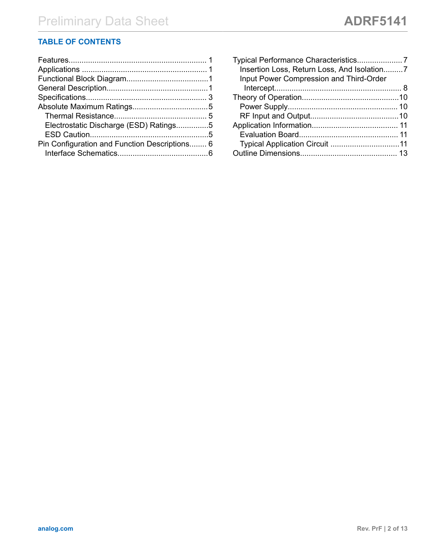## **TABLE OF CONTENTS**

| Electrostatic Discharge (ESD) Ratings5        |  |
|-----------------------------------------------|--|
|                                               |  |
| Pin Configuration and Function Descriptions 6 |  |
|                                               |  |
|                                               |  |

| Insertion Loss, Return Loss, And Isolation7    |  |
|------------------------------------------------|--|
| <b>Input Power Compression and Third-Order</b> |  |
|                                                |  |
|                                                |  |
|                                                |  |
|                                                |  |
|                                                |  |
|                                                |  |
|                                                |  |
|                                                |  |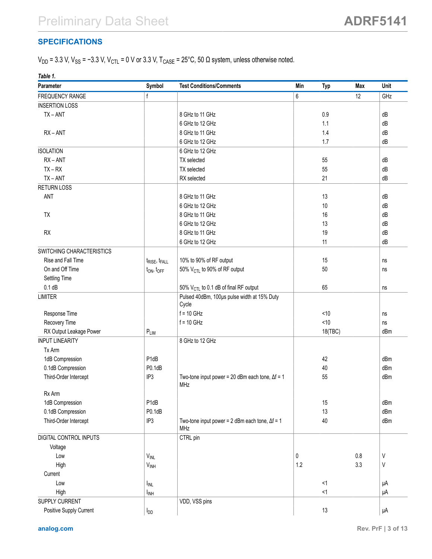### <span id="page-2-0"></span>**SPECIFICATIONS**

 $V_{DD}$  = 3.3 V,  $V_{SS}$  = −3.3 V,  $V_{CTL}$  = 0 V or 3.3 V, T<sub>CASE</sub> = 25°C, 50  $\Omega$  system, unless otherwise noted.

| Table 1.                  |                                       |                                                         |                   |     |         |
|---------------------------|---------------------------------------|---------------------------------------------------------|-------------------|-----|---------|
| Parameter                 | Symbol                                | <b>Test Conditions/Comments</b>                         | Min<br><b>Typ</b> | Max | Unit    |
| FREQUENCY RANGE           | f                                     |                                                         | 6                 | 12  | GHz     |
| <b>INSERTION LOSS</b>     |                                       |                                                         |                   |     |         |
| $TX - ANT$                |                                       | 8 GHz to 11 GHz                                         | 0.9               |     | dB      |
|                           |                                       | 6 GHz to 12 GHz                                         | 1.1               |     | dB      |
| $RX - ANT$                |                                       | 8 GHz to 11 GHz                                         | 1.4               |     | dB      |
|                           |                                       | 6 GHz to 12 GHz                                         | 1.7               |     | dB      |
| <b>ISOLATION</b>          |                                       | 6 GHz to 12 GHz                                         |                   |     |         |
| $RX - ANT$                |                                       | TX selected                                             | 55                |     | dB      |
| $TX - RX$                 |                                       | TX selected                                             | 55                |     | dB      |
| $TX - ANT$                |                                       | RX selected                                             | 21                |     | dB      |
| <b>RETURN LOSS</b>        |                                       |                                                         |                   |     |         |
| ANT                       |                                       | 8 GHz to 11 GHz                                         | 13                |     | dB      |
|                           |                                       | 6 GHz to 12 GHz                                         | $10$              |     | dB      |
| TX                        |                                       | 8 GHz to 11 GHz                                         | 16                |     | dB      |
|                           |                                       | 6 GHz to 12 GHz                                         | 13                |     | dB      |
| RX                        |                                       | 8 GHz to 11 GHz                                         | 19                |     | dB      |
|                           |                                       | 6 GHz to 12 GHz                                         | 11                |     | dB      |
| SWITCHING CHARACTERISTICS |                                       |                                                         |                   |     |         |
| Rise and Fall Time        | t <sub>RISE</sub> , t <sub>FALL</sub> | 10% to 90% of RF output                                 | 15                |     | ns      |
| On and Off Time           | $t_{ON}$ , $t_{OFF}$                  | 50% V <sub>CTL</sub> to 90% of RF output                | 50                |     | ns      |
| Settling Time             |                                       |                                                         |                   |     |         |
| 0.1 dB                    |                                       | 50% V <sub>CTL</sub> to 0.1 dB of final RF output       | 65                |     | ns      |
| <b>LIMITER</b>            |                                       | Pulsed 40dBm, 100us pulse width at 15% Duty             |                   |     |         |
|                           |                                       | Cycle                                                   |                   |     |         |
| Response Time             |                                       | $f = 10$ GHz                                            | < 10              |     | ns      |
| Recovery Time             |                                       | $f = 10$ GHz                                            | < 10              |     | ns      |
| RX Output Leakage Power   | $P_{LIM}$                             |                                                         | 18(TBC)           |     | dBm     |
| <b>INPUT LINEARITY</b>    |                                       | 8 GHz to 12 GHz                                         |                   |     |         |
| Tx Arm                    |                                       |                                                         |                   |     |         |
| 1dB Compression           | P1dB                                  |                                                         | 42                |     | dBm     |
| 0.1dB Compression         | P0.1dB                                |                                                         | 40                |     | dBm     |
| Third-Order Intercept     | IP3                                   | Two-tone input power = 20 dBm each tone, $\Delta f = 1$ | 55                |     | dBm     |
|                           |                                       | MHz                                                     |                   |     |         |
| Rx Arm                    |                                       |                                                         |                   |     |         |
| 1dB Compression           | P <sub>1dB</sub>                      |                                                         | 15                |     | dBm     |
| 0.1dB Compression         | P0.1dB                                |                                                         | 13                |     | dBm     |
| Third-Order Intercept     | IP3                                   | Two-tone input power = 2 dBm each tone, $\Delta f = 1$  | 40                |     | dBm     |
|                           |                                       | MHz                                                     |                   |     |         |
| DIGITAL CONTROL INPUTS    |                                       | CTRL pin                                                |                   |     |         |
| Voltage                   |                                       |                                                         |                   |     |         |
| Low                       | $V_{INL}$                             |                                                         | 0                 | 0.8 | V       |
| High                      | $V_{INH}$                             |                                                         | 1.2               | 3.3 | $\sf V$ |
| Current                   |                                       |                                                         |                   |     |         |
| Low                       | $I_{INL}$                             |                                                         | <1                |     | μA      |
| High                      | $I_{INH}$                             |                                                         | <1                |     | μA      |
| SUPPLY CURRENT            |                                       | VDD, VSS pins                                           |                   |     |         |
| Positive Supply Current   | l <sub>DD</sub>                       |                                                         | 13                |     | μA      |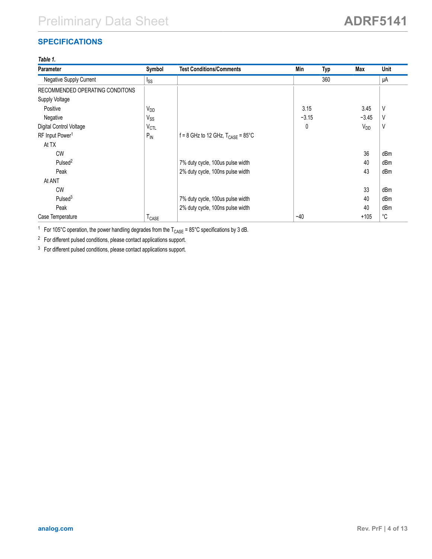## **SPECIFICATIONS**

### *Table 1.*

| <b>Parameter</b>                | Symbol                 | <b>Test Conditions/Comments</b>                  | Min     | <b>Typ</b> | Max      | Unit        |
|---------------------------------|------------------------|--------------------------------------------------|---------|------------|----------|-------------|
| Negative Supply Current         | I <sub>SS</sub>        |                                                  |         | 360        |          | μA          |
| RECOMMENDED OPERATING CONDITONS |                        |                                                  |         |            |          |             |
| Supply Voltage                  |                        |                                                  |         |            |          |             |
| Positive                        | <b>V<sub>DD</sub></b>  |                                                  | 3.15    |            | 3.45     | V           |
| Negative                        | $V_{SS}$               |                                                  | $-3.15$ |            | $-3.45$  | V           |
| Digital Control Voltage         | <b>V<sub>CTL</sub></b> |                                                  | 0       |            | $V_{DD}$ | V           |
| RF Input Power <sup>1</sup>     | $P_{\text{IN}}$        | $f = 8$ GHz to 12 GHz, $T_{CASF} = 85^{\circ}$ C |         |            |          |             |
| At TX                           |                        |                                                  |         |            |          |             |
| <b>CW</b>                       |                        |                                                  |         |            | 36       | dBm         |
| Pulsed <sup>2</sup>             |                        | 7% duty cycle, 100us pulse width                 |         |            | 40       | dBm         |
| Peak                            |                        | 2% duty cycle, 100ns pulse width                 |         |            | 43       | dBm         |
| At ANT                          |                        |                                                  |         |            |          |             |
| <b>CW</b>                       |                        |                                                  |         |            | 33       | dBm         |
| Pulsed <sup>3</sup>             |                        | 7% duty cycle, 100us pulse width                 |         |            | 40       | dBm         |
| Peak                            |                        | 2% duty cycle, 100ns pulse width                 |         |            | 40       | dBm         |
| Case Temperature                | T <sub>CASE</sub>      |                                                  | $-40$   |            | $+105$   | $^{\circ}C$ |

<sup>1</sup> For 105°C operation, the power handling degrades from the  $T_{\text{CASE}}$  = 85°C specifications by 3 dB.

<sup>2</sup> For different pulsed conditions, please contact applications support.

<sup>3</sup> For different pulsed conditions, please contact applications support.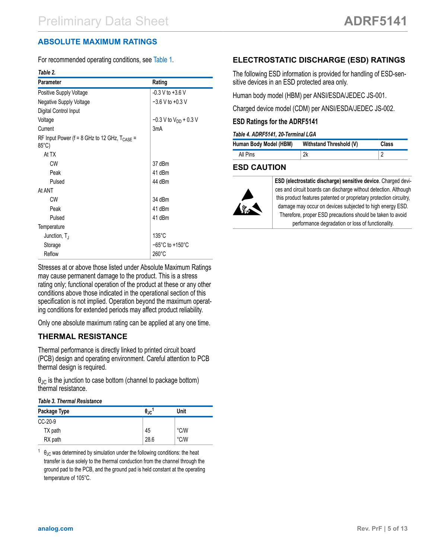## <span id="page-4-0"></span>**ABSOLUTE MAXIMUM RATINGS**

For recommended operating conditions, see [Table 1](#page-2-0).

#### *Table 2.*

| <b>Parameter</b>                                                            | Rating                               |  |  |
|-----------------------------------------------------------------------------|--------------------------------------|--|--|
| Positive Supply Voltage                                                     | $-0.3$ V to $+3.6$ V                 |  |  |
| Negative Supply Voltage                                                     | $-3.6$ V to $+0.3$ V                 |  |  |
| Digital Control Input                                                       |                                      |  |  |
| Voltage                                                                     | $-0.3$ V to V <sub>DD</sub> + 0.3 V  |  |  |
| Current                                                                     | 3 <sub>m</sub> A                     |  |  |
| RF Input Power (f = 8 GHz to 12 GHz, T <sub>CASE</sub> =<br>$85^{\circ}$ C) |                                      |  |  |
| At TX                                                                       |                                      |  |  |
| CW                                                                          | 37 dBm                               |  |  |
| Peak                                                                        | 41 dBm                               |  |  |
| Pulsed                                                                      | 44 dBm                               |  |  |
| At ANT                                                                      |                                      |  |  |
| CW                                                                          | 34 dBm                               |  |  |
| Peak                                                                        | 41 dBm                               |  |  |
| Pulsed                                                                      | 41 dBm                               |  |  |
| Temperature                                                                 |                                      |  |  |
| Junction, $T_{\rm J}$                                                       | $135^{\circ}$ C                      |  |  |
| Storage                                                                     | $-65^{\circ}$ C to +150 $^{\circ}$ C |  |  |
| Reflow                                                                      | $260^{\circ}$ C                      |  |  |

Stresses at or above those listed under Absolute Maximum Ratings may cause permanent damage to the product. This is a stress rating only; functional operation of the product at these or any other conditions above those indicated in the operational section of this specification is not implied. Operation beyond the maximum operating conditions for extended periods may affect product reliability.

Only one absolute maximum rating can be applied at any one time.

### **THERMAL RESISTANCE**

Thermal performance is directly linked to printed circuit board (PCB) design and operating environment. Careful attention to PCB thermal design is required.

 $\theta_{\text{JC}}$  is the junction to case bottom (channel to package bottom) thermal resistance.

#### *Table 3. Thermal Resistance*

| Package Type | $\theta_{\rm JC}$ <sup>1</sup> | Unit          |  |
|--------------|--------------------------------|---------------|--|
| $CC-20-9$    |                                |               |  |
| TX path      | 45                             | °C/W          |  |
| RX path      | 28.6                           | $\degree$ C/W |  |

 $1 \theta_{\text{JC}}$  was determined by simulation under the following conditions: the heat transfer is due solely to the thermal conduction from the channel through the ground pad to the PCB, and the ground pad is held constant at the operating temperature of 105°C.

## **ELECTROSTATIC DISCHARGE (ESD) RATINGS**

The following ESD information is provided for handling of ESD-sensitive devices in an ESD protected area only.

Human body model (HBM) per ANSI/ESDA/JEDEC JS-001.

Charged device model (CDM) per ANSI/ESDA/JEDEC JS-002.

### **ESD Ratings for the ADRF5141**

#### *Table 4. ADRF5141, 20-Terminal LGA*

| Human Body Model (HBM) | Withstand Threshold (V) | <b>Class</b> |
|------------------------|-------------------------|--------------|
| All Pins               |                         |              |

## **ESD CAUTION**



**ESD (electrostatic discharge) sensitive device**. Charged devices and circuit boards can discharge without detection. Although this product features patented or proprietary protection circuitry, damage may occur on devices subjected to high energy ESD. Therefore, proper ESD precautions should be taken to avoid performance degradation or loss of functionality.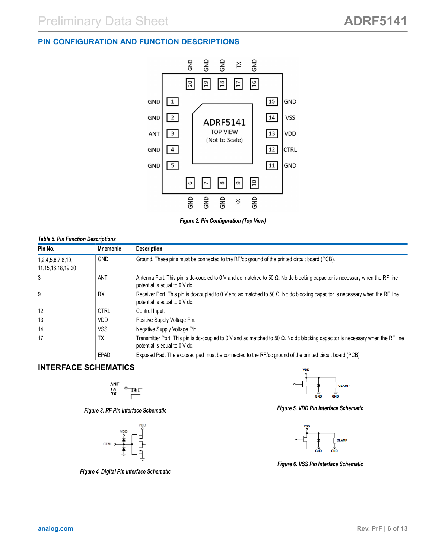#### <span id="page-5-0"></span>**PIN CONFIGURATION AND FUNCTION DESCRIPTIONS**



*Figure 2. Pin Configuration (Top View)*

#### *Table 5. Pin Function Descriptions*

| Pin No.                | <b>Mnemonic</b> | <b>Description</b>                                                                                                                                                      |
|------------------------|-----------------|-------------------------------------------------------------------------------------------------------------------------------------------------------------------------|
| 1,2,4,5,6,7,8,10,      | <b>GND</b>      | Ground. These pins must be connected to the RF/dc ground of the printed circuit board (PCB).                                                                            |
| 11, 15, 16, 18, 19, 20 |                 |                                                                                                                                                                         |
| 3                      | ANT             | Antenna Port. This pin is dc-coupled to 0 V and ac matched to 50 $\Omega$ . No dc blocking capacitor is necessary when the RF line<br>potential is equal to 0 V dc.     |
| 9                      | <b>RX</b>       | Receiver Port. This pin is dc-coupled to 0 V and ac matched to 50 $\Omega$ . No dc blocking capacitor is necessary when the RF line<br>potential is equal to 0 V dc.    |
| 12                     | <b>CTRL</b>     | Control Input.                                                                                                                                                          |
| 13                     | VDD             | Positive Supply Voltage Pin.                                                                                                                                            |
| 14                     | VSS             | Negative Supply Voltage Pin.                                                                                                                                            |
| 17                     | <b>TX</b>       | Transmitter Port. This pin is dc-coupled to 0 V and ac matched to 50 $\Omega$ . No dc blocking capacitor is necessary when the RF line<br>potential is equal to 0 V dc. |
|                        | EPAD            | Exposed Pad. The exposed pad must be connected to the RF/dc ground of the printed circuit board (PCB).                                                                  |

#### **INTERFACE SCHEMATICS**

$$
\begin{array}{c}\n\mathbf{ANT} \\
\mathbf{TX} \\
\mathbf{RX}\n\end{array} \n\qquad\n\begin{array}{c}\n\mathbf{I} \\
\mathbf{I} \\
\mathbf{I}\n\end{array}
$$

*Figure 3. RF Pin Interface Schematic*



*Figure 4. Digital Pin Interface Schematic*



*Figure 5. VDD Pin Interface Schematic*



*Figure 6. VSS Pin Interface Schematic*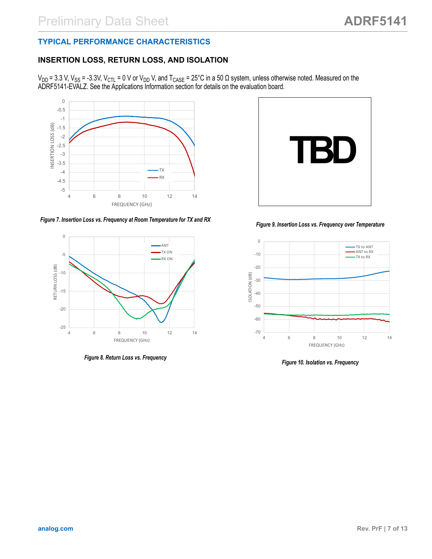#### <span id="page-6-0"></span>**TYPICAL PERFORMANCE CHARACTERISTICS**

#### **INSERTION LOSS, RETURN LOSS, AND ISOLATION**

V<sub>DD</sub> = 3.3 V, V<sub>SS</sub> = -3.3V, V<sub>CTL</sub> = 0 V or V<sub>DD</sub> V, and T<sub>CASE</sub> = 25°C in a 50 Ω system, unless otherwise noted. Measured on the ADRF5141-EVALZ. See the Applications Information section for details on the evaluation board.



*Figure 7. Insertion Loss vs. Frequency at Room Temperature for TX and RX*



*Figure 8. Return Loss vs. Frequency*



*Figure 9. Insertion Loss vs. Frequency over Temperature*



*Figure 10. Isolation vs. Frequency*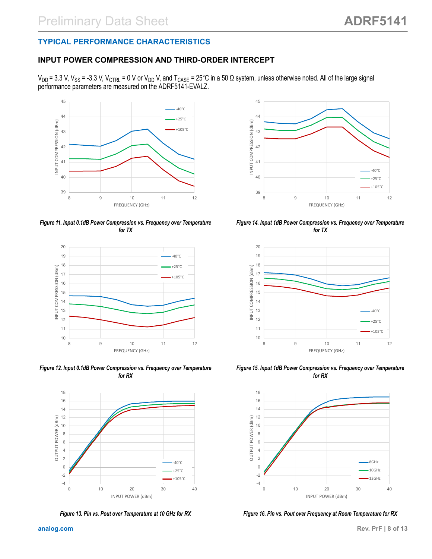## <span id="page-7-0"></span>**TYPICAL PERFORMANCE CHARACTERISTICS**

## **INPUT POWER COMPRESSION AND THIRD-ORDER INTERCEPT**

V<sub>DD</sub> = 3.3 V, V<sub>SS</sub> = -3.3 V, V<sub>CTRL</sub> = 0 V or V<sub>DD</sub> V, and T<sub>CASE</sub> = 25°C in a 50 Ω system, unless otherwise noted. All of the large signal performance parameters are measured on the ADRF5141-EVALZ.



*Figure 11. Input 0.1dB Power Compression vs. Frequency over Temperature for TX*



*Figure 12. Input 0.1dB Power Compression vs. Frequency over Temperature for RX*



*Figure 13. Pin vs. Pout over Temperature at 10 GHz for RX*



*Figure 14. Input 1dB Power Compression vs. Frequency over Temperature for TX*



*Figure 15. Input 1dB Power Compression vs. Frequency over Temperature for RX*



*Figure 16. Pin vs. Pout over Frequency at Room Temperature for RX*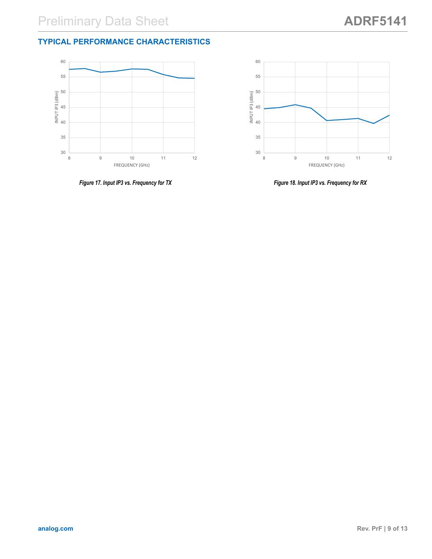### **TYPICAL PERFORMANCE CHARACTERISTICS**





*Figure 17. Input IP3 vs. Frequency for TX*

*Figure 18. Input IP3 vs. Frequency for RX*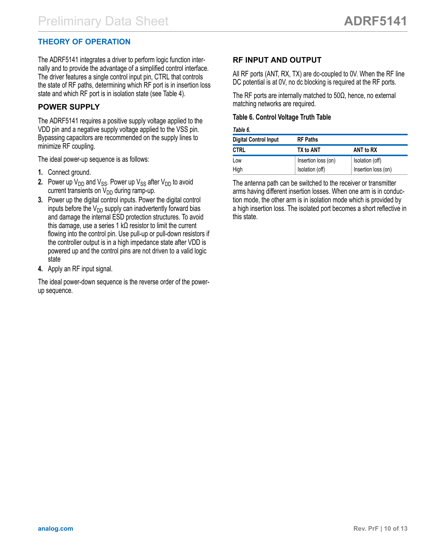### <span id="page-9-0"></span>**THEORY OF OPERATION**

The ADRF5141 integrates a driver to perform logic function internally and to provide the advantage of a simplified control interface. The driver features a single control input pin, CTRL that controls the state of RF paths, determining which RF port is in insertion loss state and which RF port is in isolation state (see Table 4).

### **POWER SUPPLY**

The ADRF5141 requires a positive supply voltage applied to the VDD pin and a negative supply voltage applied to the VSS pin. Bypassing capacitors are recommended on the supply lines to minimize RF coupling.

The ideal power-up sequence is as follows:

- **1.** Connect ground.
- **2.** Power up  $V_{DD}$  and  $V_{SS}$ . Power up  $V_{SS}$  after  $V_{DD}$  to avoid current transients on  $V_{DD}$  during ramp-up.
- **3.** Power up the digital control inputs. Power the digital control inputs before the  $V_{DD}$  supply can inadvertently forward bias and damage the internal ESD protection structures. To avoid this damage, use a series 1 kΩ resistor to limit the current flowing into the control pin. Use pull-up or pull-down resistors if the controller output is in a high impedance state after VDD is powered up and the control pins are not driven to a valid logic state
- **4.** Apply an RF input signal.

The ideal power-down sequence is the reverse order of the powerup sequence.

### **RF INPUT AND OUTPUT**

All RF ports (ANT, RX, TX) are dc-coupled to 0V. When the RF line DC potential is at 0V, no dc blocking is required at the RF ports.

The RF ports are internally matched to  $50\Omega$ , hence, no external matching networks are required.

#### **Table 6. Control Voltage Truth Table**

#### *Table 6.*

| <b>Digital Control Input</b> | <b>RF Paths</b>     |                     |
|------------------------------|---------------------|---------------------|
| <b>CTRL</b>                  | TX to ANT           | ANT to RX           |
| Low                          | Insertion loss (on) | Isolation (off)     |
| High                         | Isolation (off)     | Insertion loss (on) |

The antenna path can be switched to the receiver or transmitter arms having different insertion losses. When one arm is in conduction mode, the other arm is in isolation mode which is provided by a high insertion loss. The isolated port becomes a short reflective in this state.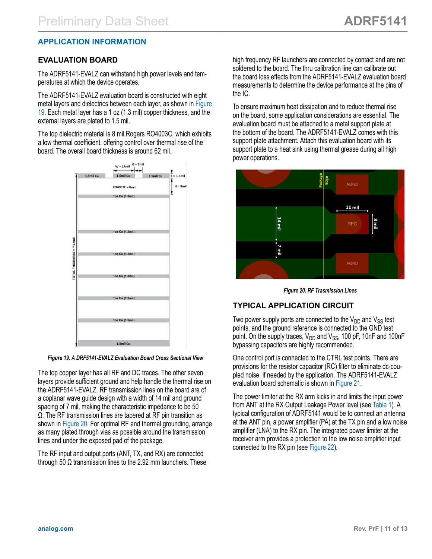### <span id="page-10-0"></span>**APPLICATION INFORMATION**

#### **EVALUATION BOARD**

The ADRF5141-EVALZ can withstand high power levels and temperatures at which the device operates.

The ADRF5141-EVALZ evaluation board is constructed with eight metal layers and dielectrics between each layer, as shown in Figure 19. Each metal layer has a 1 oz (1.3 mil) copper thickness, and the external layers are plated to 1.5 mil.

The top dielectric material is 8 mil Rogers RO4003C, which exhibits a low thermal coefficient, offering control over thermal rise of the board. The overall board thickness is around 62 mil.



#### *Figure 19. A DRF5141-EVALZ Evaluation Board Cross Sectional View*

The top copper layer has all RF and DC traces. The other seven layers provide sufficient ground and help handle the thermal rise on the ADRF5141-EVALZ. RF transmission lines on the board are of a coplanar wave guide design with a width of 14 mil and ground spacing of 7 mil, making the characteristic impedance to be 50 Ω. The RF transmission lines are tapered at RF pin transition as shown in Figure 20. For optimal RF and thermal grounding, arrange as many plated through vias as possible around the transmission lines and under the exposed pad of the package.

The RF input and output ports (ANT, TX, and RX) are connected through 50  $Ω$  transmission lines to the 2.92 mm launchers. These

high frequency RF launchers are connected by contact and are not soldered to the board. The thru calibration line can calibrate out the board loss effects from the ADRF5141-EVALZ evaluation board measurements to determine the device performance at the pins of the IC.

To ensure maximum heat dissipation and to reduce thermal rise on the board, some application considerations are essential. The evaluation board must be attached to a metal support plate at the bottom of the board. The ADRF5141-EVALZ comes with this support plate attachment. Attach this evaluation board with its support plate to a heat sink using thermal grease during all high power operations.



*Figure 20. RF Trasmission Lines*

#### **TYPICAL APPLICATION CIRCUIT**

Two power supply ports are connected to the  $V_{DD}$  and  $V_{SS}$  test points, and the ground reference is connected to the GND test point. On the supply traces,  $V_{DD}$  and  $V_{SS}$ , 100 pF, 10nF and 100nF bypassing capacitors are highly recommended.

One control port is connected to the CTRL test points. There are provisions for the resistor capacitor (RC) filter to eliminate dc-coupled noise, if needed by the application. The ADRF5141-EVALZ evaluation board schematic is shown in [Figure 21.](#page-11-0)

The power limiter at the RX arm kicks in and limits the input power from ANT at the RX Output Leakage Power level (see [Table 1](#page-2-0)). A typical configuration of ADRF5141 would be to connect an antenna at the ANT pin, a power amplifier (PA) at the TX pin and a low noise amplifier (LNA) to the RX pin. The integrated power limiter at the receiver arm provides a protection to the low noise amplifier input connected to the RX pin (see [Figure 22\)](#page-11-0).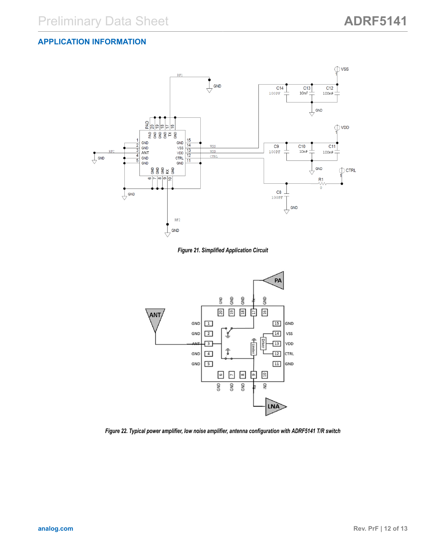#### <span id="page-11-0"></span>**APPLICATION INFORMATION**



*Figure 21. Simplified Application Circuit*



*Figure 22. Typical power amplifier, low noise amplifier, antenna configuration with ADRF5141 T/R switch*